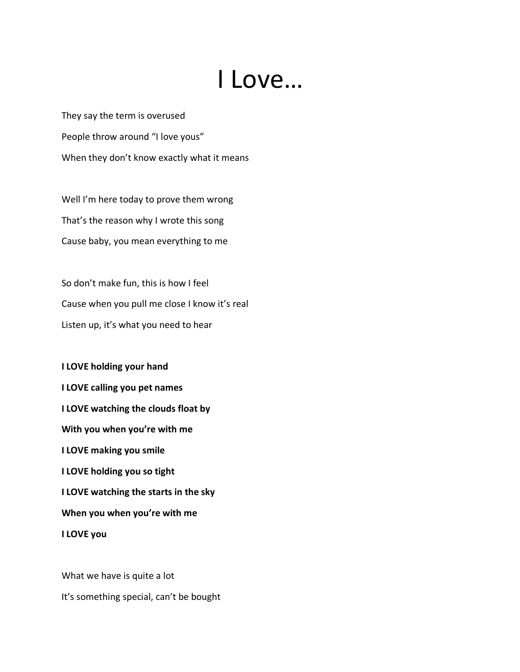## I Love…

They say the term is overused People throw around "I love yous" When they don't know exactly what it means

Well I'm here today to prove them wrong That's the reason why I wrote this song Cause baby, you mean everything to me

So don't make fun, this is how I feel Cause when you pull me close I know it's real Listen up, it's what you need to hear

**I LOVE holding your hand I LOVE calling you pet names I LOVE watching the clouds float by With you when you're with me I LOVE making you smile I LOVE holding you so tight I LOVE watching the starts in the sky When you when you're with me I LOVE you**

What we have is quite a lot It's something special, can't be bought